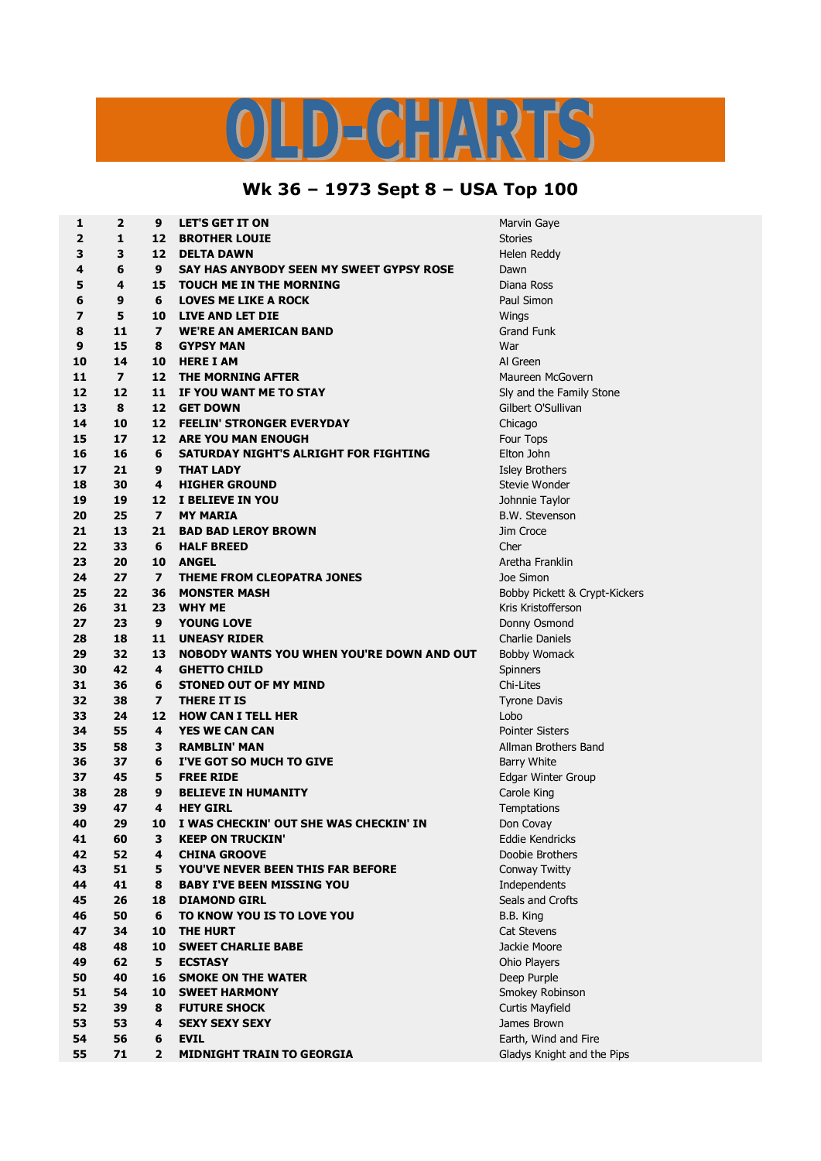## S  $\bigcap$ <u> Б</u> Ы

## **Wk 36 – 1973 Sept 8 – USA Top 100**

| 1                       | $\overline{2}$ | 9                       | <b>LET'S GET IT ON</b>                           | Marvin Gaye                    |
|-------------------------|----------------|-------------------------|--------------------------------------------------|--------------------------------|
| $\overline{\mathbf{2}}$ | 1              | 12                      | <b>BROTHER LOUIE</b>                             | <b>Stories</b>                 |
| 3                       | 3              | 12                      | <b>DELTA DAWN</b>                                | Helen Reddy                    |
| 4                       | 6              | 9                       | SAY HAS ANYBODY SEEN MY SWEET GYPSY ROSE         | Dawn                           |
| 5                       | 4              | 15                      | <b>TOUCH ME IN THE MORNING</b>                   | Diana Ross                     |
| 6                       | 9              | 6                       | <b>LOVES ME LIKE A ROCK</b>                      | Paul Simon                     |
| 7                       | 5              | 10                      | <b>LIVE AND LET DIE</b>                          | Wings                          |
| 8                       | 11             | $\overline{\mathbf{z}}$ | <b>WE'RE AN AMERICAN BAND</b>                    | <b>Grand Funk</b>              |
| 9                       | 15             | 8                       | <b>GYPSY MAN</b>                                 | War                            |
| 10                      | 14             | 10                      | <b>HERE I AM</b>                                 | Al Green                       |
| 11                      | $\overline{ }$ | 12                      | THE MORNING AFTER                                | Maureen McGovern               |
| 12                      | 12             | 11                      | IF YOU WANT ME TO STAY                           | Sly and the Family Stone       |
| 13                      | 8              | 12                      | <b>GET DOWN</b>                                  | Gilbert O'Sullivan             |
| 14                      | 10             | 12                      | <b>FEELIN' STRONGER EVERYDAY</b>                 | Chicago                        |
| 15                      | 17             | 12                      | <b>ARE YOU MAN ENOUGH</b>                        | Four Tops                      |
| 16                      | 16             | 6                       | SATURDAY NIGHT'S ALRIGHT FOR FIGHTING            | Elton John                     |
| 17                      | 21             | 9                       | <b>THAT LADY</b>                                 | Isley Brothers                 |
| 18                      | 30             | 4                       | <b>HIGHER GROUND</b>                             | Stevie Wonder                  |
| 19                      | 19             | 12                      | I BELIEVE IN YOU                                 | Johnnie Taylor                 |
| 20                      | 25             | $\overline{\mathbf{z}}$ | <b>MY MARIA</b>                                  | <b>B.W. Stevenson</b>          |
| 21                      | 13             | 21                      | <b>BAD BAD LEROY BROWN</b>                       | Jim Croce                      |
| 22                      | 33             | 6                       | <b>HALF BREED</b>                                | Cher                           |
| 23                      | 20             | 10                      | <b>ANGEL</b>                                     | Aretha Franklin                |
| 24                      | 27             | $\overline{\mathbf{z}}$ | <b>THEME FROM CLEOPATRA JONES</b>                | Joe Simon                      |
| 25                      | 22             | 36                      | <b>MONSTER MASH</b>                              | Bobby Pickett & Crypt-Kick     |
| 26                      | 31             | 23                      | <b>WHY ME</b>                                    | Kris Kristofferson             |
| 27                      | 23             | 9                       | <b>YOUNG LOVE</b>                                |                                |
| 28                      | 18             | 11                      | <b>UNEASY RIDER</b>                              | Donny Osmond                   |
| 29                      | 32             | 13                      | <b>NOBODY WANTS YOU WHEN YOU'RE DOWN AND OUT</b> | <b>Charlie Daniels</b>         |
| 30                      | 42             | 4                       | <b>GHETTO CHILD</b>                              | <b>Bobby Womack</b>            |
| 31                      | 36             | 6                       | <b>STONED OUT OF MY MIND</b>                     | Spinners<br>Chi-Lites          |
| 32                      | 38             | $\overline{\mathbf{z}}$ |                                                  |                                |
| 33                      | 24             | 12                      | <b>THERE IT IS</b>                               | <b>Tyrone Davis</b>            |
| 34                      | 55             | 4                       | <b>HOW CAN I TELL HER</b>                        | Lobo<br><b>Pointer Sisters</b> |
|                         |                |                         | <b>YES WE CAN CAN</b>                            |                                |
| 35                      | 58             | 3                       | <b>RAMBLIN' MAN</b>                              | Allman Brothers Band           |
| 36                      | 37             | 6                       | I'VE GOT SO MUCH TO GIVE                         | <b>Barry White</b>             |
| 37                      | 45             | 5                       | <b>FREE RIDE</b>                                 | Edgar Winter Group             |
| 38                      | 28             | 9                       | <b>BELIEVE IN HUMANITY</b>                       | Carole King                    |
| 39                      | 47             | 4                       | <b>HEY GIRL</b>                                  | Temptations                    |
| 40                      | 29             | 10                      | I WAS CHECKIN' OUT SHE WAS CHECKIN' IN           | Don Covay                      |
| 41                      | 60             | 3                       | <b>KEEP ON TRUCKIN'</b>                          | Eddie Kendricks                |
| 42                      | 52             | 4                       | <b>CHINA GROOVE</b>                              | Doobie Brothers                |
| 43                      | 51             | 5                       | YOU'VE NEVER BEEN THIS FAR BEFORE                | Conway Twitty                  |
| 44                      | 41             | 8                       | <b>BABY I'VE BEEN MISSING YOU</b>                | Independents                   |
| 45                      | 26             | 18                      | <b>DIAMOND GIRL</b>                              | Seals and Crofts               |
| 46                      | 50             | 6                       | TO KNOW YOU IS TO LOVE YOU                       | B.B. King                      |
| 47                      | 34             | 10                      | <b>THE HURT</b>                                  | Cat Stevens                    |
| 48                      | 48             | 10                      | <b>SWEET CHARLIE BABE</b>                        | Jackie Moore                   |
| 49                      | 62             | 5                       | <b>ECSTASY</b>                                   | Ohio Players                   |
| 50                      | 40             | 16                      | <b>SMOKE ON THE WATER</b>                        | Deep Purple                    |
| 51                      | 54             | 10                      | <b>SWEET HARMONY</b>                             | Smokey Robinson                |
| 52                      | 39             | 8                       | <b>FUTURE SHOCK</b>                              | Curtis Mayfield                |
| 53                      | 53             | 4                       | <b>SEXY SEXY SEXY</b>                            | James Brown                    |
| 54                      | 56             | 6                       | <b>EVIL</b>                                      | Earth, Wind and Fire           |
| 55                      | 71             | $\overline{2}$          | <b>MIDNIGHT TRAIN TO GEORGIA</b>                 | Gladys Knight and the Pips     |

 **12 11 IF YOU WANT ME TO STAY** Sly and the Family Stone **22 36 MONSTER MASH** Bobby Pickett & Crypt-Kickers **58 3 RAMBLIN' MAN** Allman Brothers Band **nd** and Fire